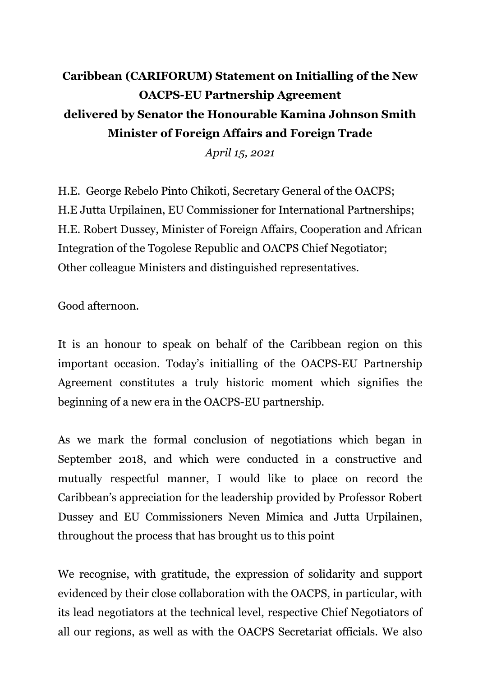## **Caribbean (CARIFORUM) Statement on Initialling of the New OACPS-EU Partnership Agreement delivered by Senator the Honourable Kamina Johnson Smith Minister of Foreign Affairs and Foreign Trade**

*April 15, 2021*

H.E. George Rebelo Pinto Chikoti, Secretary General of the OACPS; H.E Jutta Urpilainen, EU Commissioner for International Partnerships; H.E. Robert Dussey, Minister of Foreign Affairs, Cooperation and African Integration of the Togolese Republic and OACPS Chief Negotiator; Other colleague Ministers and distinguished representatives.

Good afternoon.

It is an honour to speak on behalf of the Caribbean region on this important occasion. Today's initialling of the OACPS-EU Partnership Agreement constitutes a truly historic moment which signifies the beginning of a new era in the OACPS-EU partnership.

As we mark the formal conclusion of negotiations which began in September 2018, and which were conducted in a constructive and mutually respectful manner, I would like to place on record the Caribbean's appreciation for the leadership provided by Professor Robert Dussey and EU Commissioners Neven Mimica and Jutta Urpilainen, throughout the process that has brought us to this point

We recognise, with gratitude, the expression of solidarity and support evidenced by their close collaboration with the OACPS, in particular, with its lead negotiators at the technical level, respective Chief Negotiators of all our regions, as well as with the OACPS Secretariat officials. We also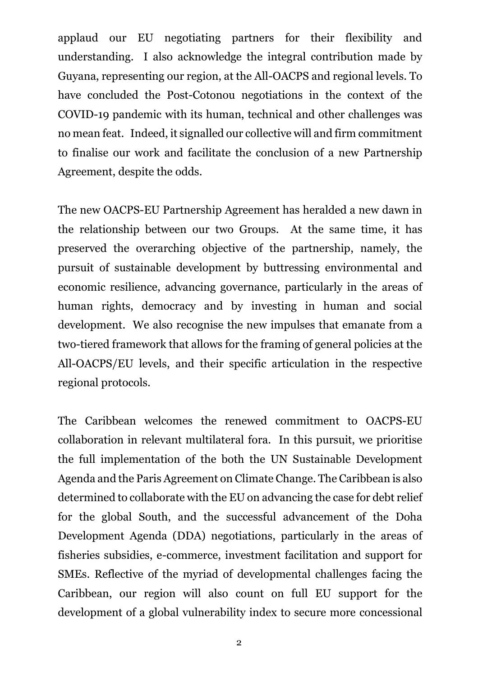applaud our EU negotiating partners for their flexibility and understanding. I also acknowledge the integral contribution made by Guyana, representing our region, at the All-OACPS and regional levels. To have concluded the Post-Cotonou negotiations in the context of the COVID-19 pandemic with its human, technical and other challenges was no mean feat. Indeed, it signalled our collective will and firm commitment to finalise our work and facilitate the conclusion of a new Partnership Agreement, despite the odds.

The new OACPS-EU Partnership Agreement has heralded a new dawn in the relationship between our two Groups. At the same time, it has preserved the overarching objective of the partnership, namely, the pursuit of sustainable development by buttressing environmental and economic resilience, advancing governance, particularly in the areas of human rights, democracy and by investing in human and social development. We also recognise the new impulses that emanate from a two-tiered framework that allows for the framing of general policies at the All-OACPS/EU levels, and their specific articulation in the respective regional protocols.

The Caribbean welcomes the renewed commitment to OACPS-EU collaboration in relevant multilateral fora. In this pursuit, we prioritise the full implementation of the both the UN Sustainable Development Agenda and the Paris Agreement on Climate Change. The Caribbean is also determined to collaborate with the EU on advancing the case for debt relief for the global South, and the successful advancement of the Doha Development Agenda (DDA) negotiations, particularly in the areas of fisheries subsidies, e-commerce, investment facilitation and support for SMEs. Reflective of the myriad of developmental challenges facing the Caribbean, our region will also count on full EU support for the development of a global vulnerability index to secure more concessional